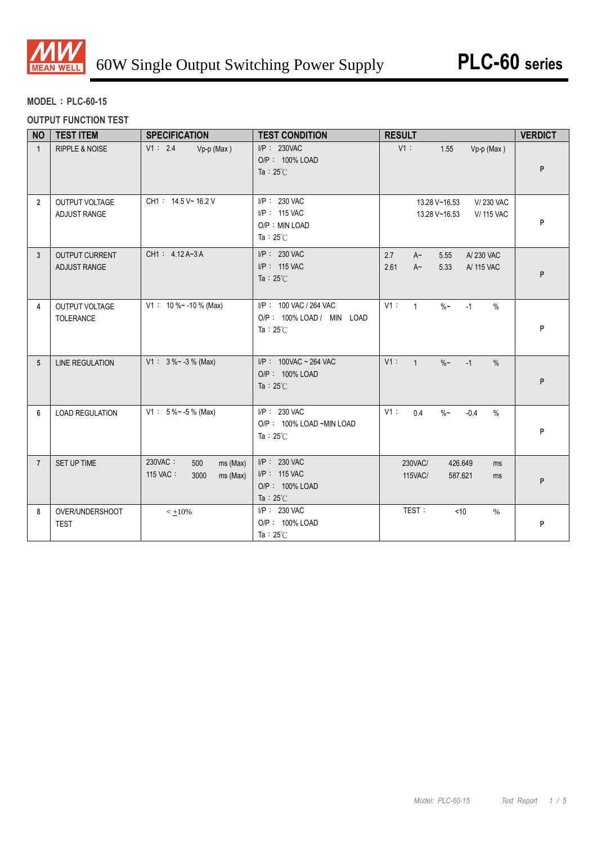

# **MODEL**:**PLC-60-15**

## **OUTPUT FUNCTION TEST**

| <b>NO</b>      | <b>TEST ITEM</b>                      | <b>SPECIFICATION</b>                                       | <b>TEST CONDITION</b>                                                     | <b>RESULT</b>                                                                      | <b>VERDICT</b> |
|----------------|---------------------------------------|------------------------------------------------------------|---------------------------------------------------------------------------|------------------------------------------------------------------------------------|----------------|
| $\mathbf{1}$   | <b>RIPPLE &amp; NOISE</b>             | V1: 2.4<br>Vp-p (Max)                                      | $I/P$ : 230VAC<br>O/P: 100% LOAD<br>Ta: $25^{\circ}$ C                    | $V1$ :<br>1.55<br>$Vp-p$ (Max)                                                     | P              |
| $\overline{2}$ | OUTPUT VOLTAGE<br><b>ADJUST RANGE</b> | CH1: 14.5 V ~ 16.2 V                                       | I/P: 230 VAC<br>I/P: 115 VAC<br>O/P: MIN LOAD<br>Ta: $25^{\circ}$ C       | V/230 VAC<br>13.28 V~16.53<br>13.28 V~16.53<br><b>V/ 115 VAC</b>                   | P              |
| $\mathbf{3}$   | <b>OUTPUT CURRENT</b><br>ADJUST RANGE | CH1: 4.12A~3A                                              | $I/P$ : 230 VAC<br>I/P: 115 VAC<br>Ta: $25^{\circ}$ C                     | 2.7<br>5.55<br>A/230 VAC<br>$A^{\sim}$<br>2.61<br>$A^{\sim}$<br>5.33<br>A/ 115 VAC | P              |
| 4              | OUTPUT VOLTAGE<br><b>TOLERANCE</b>    | $V1: 10\% ~ -10\%$ (Max)                                   | I/P: 100 VAC / 264 VAC<br>O/P: 100% LOAD / MIN LOAD<br>Ta: $25^{\circ}$ C | V1:<br>$\mathbf{1}$<br>$\%$ ~<br>$-1$<br>$\%$                                      | P              |
| 5              | <b>LINE REGULATION</b>                | $V1: 3\%~-3\%$ (Max)                                       | $I/P$ : 100VAC ~ 264 VAC<br>O/P: 100% LOAD<br>Ta: $25^{\circ}$ C          | V1:<br>$\mathbf{1}$<br>$\%$ ~<br>$-1$<br>$\%$                                      | P              |
| 6              | <b>LOAD REGULATION</b>                | $V1: 5\% ~ -5\%$ (Max)                                     | $I/P$ : 230 VAC<br>O/P: 100% LOAD ~MIN LOAD<br>Ta: $25^{\circ}$ C         | V1:<br>0.4<br>$\%$ ~<br>$-0.4$<br>$\%$                                             | P              |
| $\overline{7}$ | SET UP TIME                           | 230VAC:<br>500<br>ms (Max)<br>115 VAC:<br>3000<br>ms (Max) | I/P: 230 VAC<br>I/P: 115 VAC<br>O/P: 100% LOAD<br>Ta: $25^{\circ}$ C      | 230VAC/<br>426.649<br>ms<br>115VAC/<br>587.621<br>ms                               | P              |
| 8              | OVER/UNDERSHOOT<br><b>TEST</b>        | $< +10%$                                                   | $I/P$ : 230 VAC<br>O/P: 100% LOAD<br>Ta: $25^{\circ}$ C                   | TEST:<br>< 10<br>$\%$                                                              | P              |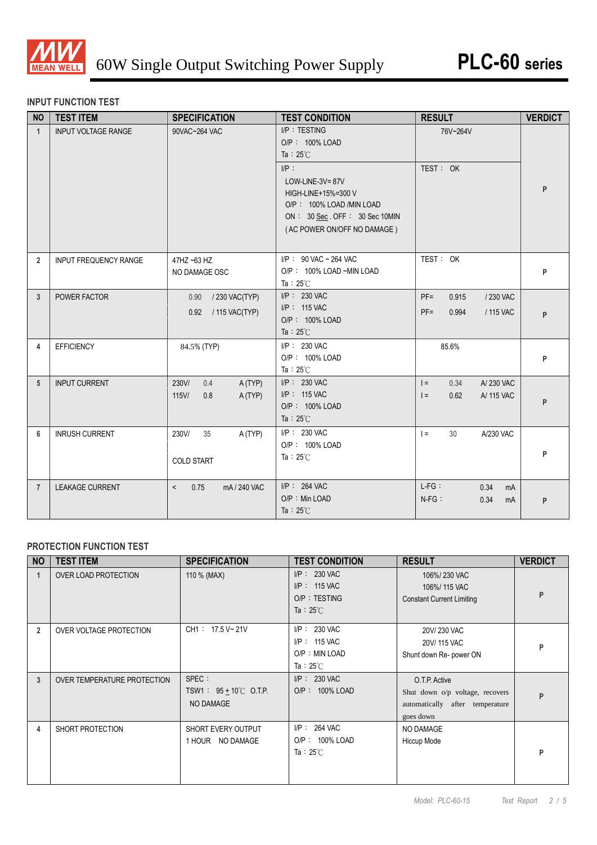

### **INPUT FUNCTION TEST**

| <b>NO</b>      | <b>TEST ITEM</b>             | <b>SPECIFICATION</b>                              | <b>TEST CONDITION</b>                                                                                                                                                                                    | <b>RESULT</b>                                                | <b>VERDICT</b> |
|----------------|------------------------------|---------------------------------------------------|----------------------------------------------------------------------------------------------------------------------------------------------------------------------------------------------------------|--------------------------------------------------------------|----------------|
| $\mathbf{1}$   | <b>INPUT VOLTAGE RANGE</b>   | 90VAC~264 VAC                                     | $I/P$ : TESTING<br>O/P: 100% LOAD<br>Ta: $25^{\circ}$ C<br>$I/P$ :<br>LOW-LINE-3V=87V<br>HIGH-LINE+15%=300 V<br>O/P: 100% LOAD /MIN LOAD<br>ON: 30 Sec. OFF: 30 Sec 10MIN<br>(AC POWER ON/OFF NO DAMAGE) | 76V~264V<br>TEST: OK                                         | P              |
| $\overline{2}$ | <b>INPUT FREQUENCY RANGE</b> | 47HZ ~63 HZ<br>NO DAMAGE OSC                      | $I/P$ : 90 VAC ~ 264 VAC<br>O/P: 100% LOAD ~MIN LOAD<br>Ta: $25^{\circ}$ C                                                                                                                               | TEST: OK                                                     | P              |
| 3              | POWER FACTOR                 | 0.90 / 230 VAC(TYP)<br>0.92 / 115 VAC(TYP)        | $I/P$ : 230 VAC<br>I/P: 115 VAC<br>O/P: 100% LOAD<br>Ta: $25^{\circ}$ C                                                                                                                                  | $PF =$<br>0.915<br>/ 230 VAC<br>$PF =$<br>0.994<br>/ 115 VAC | P              |
| 4              | <b>EFFICIENCY</b>            | 84.5% (TYP)                                       | $I/P$ : 230 VAC<br>O/P: 100% LOAD<br>Ta: $25^{\circ}$ C                                                                                                                                                  | 85.6%                                                        | P              |
| 5              | <b>INPUT CURRENT</b>         | 230V/<br>0.4<br>A(TYP)<br>115V/<br>A (TYP)<br>0.8 | $I/P$ : 230 VAC<br>I/P: 115 VAC<br>O/P: 100% LOAD<br>Ta: $25^{\circ}$ C                                                                                                                                  | A/230 VAC<br>0.34<br>$=$<br>0.62<br>A/ 115 VAC<br>$=$        | P              |
| 6              | <b>INRUSH CURRENT</b>        | 230V/<br>35<br>A (TYP)<br><b>COLD START</b>       | $I/P$ : 230 VAC<br>O/P: 100% LOAD<br>Ta: $25^\circ$ C                                                                                                                                                    | $\vert$ =<br>30<br>A/230 VAC                                 | P              |
| $\overline{7}$ | <b>LEAKAGE CURRENT</b>       | 0.75<br>mA / 240 VAC<br>$\prec$                   | $I/P$ : 264 VAC<br>O/P: Min LOAD<br>Ta : $25^{\circ}$ C                                                                                                                                                  | $L-FG$ :<br>0.34<br>mA<br>$N-FG$ :<br>0.34<br>mA             | P              |

### **PROTECTION FUNCTION TEST**

| <b>NO</b>      | <b>TEST ITEM</b>            | <b>SPECIFICATION</b>                                      | <b>TEST CONDITION</b>                                                     | <b>RESULT</b>                                                                                    | <b>VERDICT</b> |
|----------------|-----------------------------|-----------------------------------------------------------|---------------------------------------------------------------------------|--------------------------------------------------------------------------------------------------|----------------|
| $\mathbf{1}$   | OVER LOAD PROTECTION        | 110 % (MAX)                                               | $I/P$ : 230 VAC<br>$I/P$ : 115 VAC<br>O/P: TESTING<br>Ta : $25^{\circ}$ C | 106%/230 VAC<br>106%/115 VAC<br><b>Constant Current Limiting</b>                                 | P              |
| $\overline{2}$ | OVER VOLTAGE PROTECTION     | CH1: 17.5 V~21V                                           | $I/P$ : 230 VAC<br>$I/P$ : 115 VAC<br>O/P: MIN LOAD<br>Ta: $25^{\circ}$ C | 20V/230 VAC<br>20V/115 VAC<br>Shunt down Re- power ON                                            | P              |
| 3              | OVER TEMPERATURE PROTECTION | SPEC :<br>TSW1: $95 \pm 10^{\circ}$ C O.T.P.<br>NO DAMAGE | $I/P$ : 230 VAC<br>O/P: 100% LOAD                                         | O.T.P. Active<br>Shut down o/p voltage, recovers<br>automatically after temperature<br>goes down | P              |
| 4              | SHORT PROTECTION            | SHORT EVERY OUTPUT<br>1 HOUR NO DAMAGE                    | $I/P$ : 264 VAC<br>O/P: 100% LOAD<br>Ta : $25^{\circ}$ C                  | NO DAMAGE<br>Hiccup Mode                                                                         | P              |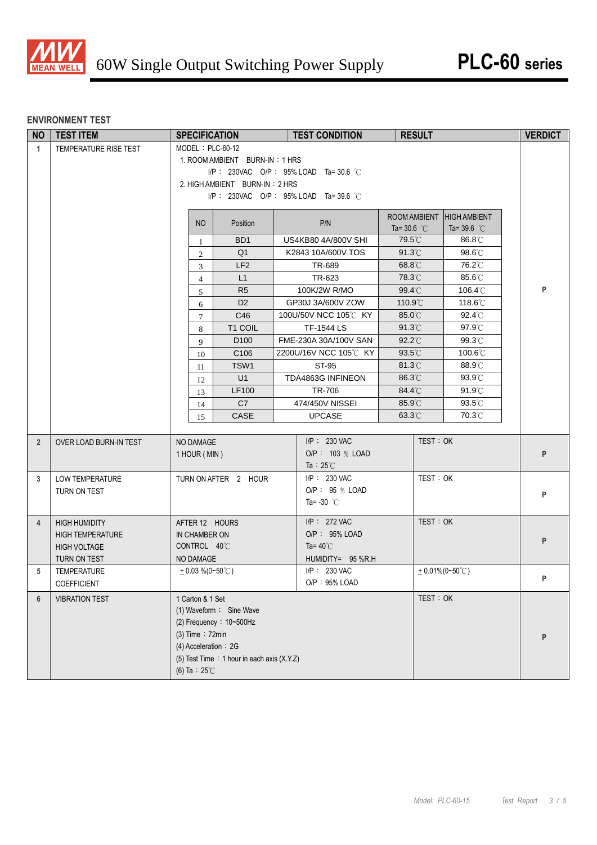

# **ENVIRONMENT TEST**

| <b>NO</b>      | <b>TEST ITEM</b>        | <b>SPECIFICATION</b>    |                                            | <b>TEST CONDITION</b>                | <b>RESULT</b>         |                                | <b>VERDICT</b> |
|----------------|-------------------------|-------------------------|--------------------------------------------|--------------------------------------|-----------------------|--------------------------------|----------------|
| $\mathbf{1}$   | TEMPERATURE RISE TEST   | MODEL: PLC-60-12        |                                            |                                      |                       |                                |                |
|                |                         |                         | 1. ROOM AMBIENT BURN-IN: 1 HRS             |                                      |                       |                                |                |
|                |                         |                         |                                            | I/P: 230VAC O/P: 95% LOAD Ta=30.6 °C |                       |                                |                |
|                |                         |                         | 2. HIGH AMBIENT BURN-IN: 2 HRS             |                                      |                       |                                |                |
|                |                         |                         |                                            | I/P: 230VAC O/P: 95% LOAD Ta=39.6 °C |                       |                                |                |
|                |                         |                         |                                            |                                      | ROOM AMBIENT          | <b>HIGH AMBIENT</b>            |                |
|                |                         | <b>NO</b>               | Position                                   | P/N                                  | Ta= 30.6 $^{\circ}$ C | Ta=39.6 $^{\circ}$ C           |                |
|                |                         | $\mathbf{1}$            | BD <sub>1</sub>                            | US4KB80 4A/800V SHI                  | 79.5°C                | 86.8°C                         |                |
|                |                         | $\overline{2}$          | Q <sub>1</sub>                             | K2843 10A/600V TOS                   | 91.3°C                | 98.6°C                         |                |
|                |                         | 3                       | LF <sub>2</sub>                            | TR-689                               | $68.8^\circ$ C        | 76.2°C                         |                |
|                |                         | $\overline{4}$          | L1                                         | TR-623                               | 78.3°C                | 85.6°C                         |                |
|                |                         | 5                       | R <sub>5</sub>                             | 100K/2W R/MO                         | 99.4°C                | 106.4°C                        | P              |
|                |                         | 6                       | D <sub>2</sub>                             | GP30J 3A/600V ZOW                    | 110.9°C               | 118.6°C                        |                |
|                |                         | $\tau$                  | C46                                        | 100U/50V NCC 105℃ KY                 | 85.0°C                | 92.4°C                         |                |
|                |                         | 8                       | T1 COIL                                    | <b>TF-1544 LS</b>                    | $91.3^{\circ}$ C      | 97.9°C                         |                |
|                |                         | 9                       | D <sub>100</sub>                           | FME-230A 30A/100V SAN                | $92.2^{\circ}$ C      | 99.3°C                         |                |
|                |                         | 10                      | C106                                       | 2200U/16V NCC 105℃ KY                | 93.5°C                | 100.6°C                        |                |
|                |                         | 11                      | TSW1                                       | <b>ST-95</b>                         | 81.3°C                | 88.9°C                         |                |
|                |                         | 12                      | U1                                         | TDA4863G INFINEON                    | 86.3°C                | $93.9^{\circ}$ C               |                |
|                |                         | 13                      | LF100                                      | TR-706                               | 84.4°C                | $91.9^{\circ}$ C               |                |
|                |                         | 14                      | C7                                         | 474/450V NISSEI                      | 85.9°C                | 93.5°C                         |                |
|                |                         | 15                      | CASE                                       | <b>UPCASE</b>                        | $63.3^{\circ}$ C      | 70.3°C                         |                |
|                |                         |                         |                                            |                                      |                       |                                |                |
| $\overline{2}$ | OVER LOAD BURN-IN TEST  | NO DAMAGE               |                                            | $I/P$ : 230 VAC                      |                       | TEST: OK                       |                |
|                |                         | 1 HOUR (MIN)            |                                            | O/P: 103 % LOAD                      |                       |                                | P              |
|                |                         |                         |                                            | Ta : $25^{\circ}$ C                  |                       |                                |                |
| 3              | <b>LOW TEMPERATURE</b>  |                         | TURN ON AFTER 2 HOUR                       | $I/P: 230$ VAC                       |                       | TEST: OK                       |                |
|                | TURN ON TEST            |                         |                                            | O/P: 95 % LOAD                       |                       |                                | P              |
|                |                         |                         |                                            | Ta= $-30$ °C                         |                       |                                |                |
| $\overline{4}$ | <b>HIGH HUMIDITY</b>    | AFTER 12 HOURS          |                                            | I/P: 272 VAC                         |                       | TEST: OK                       |                |
|                | <b>HIGH TEMPERATURE</b> | IN CHAMBER ON           |                                            | O/P: 95% LOAD                        |                       |                                | P              |
|                | <b>HIGH VOLTAGE</b>     | CONTROL 40°C            |                                            | Ta= $40^{\circ}$ C                   |                       |                                |                |
|                | TURN ON TEST            | NO DAMAGE               |                                            | HUMIDITY= 95 %R.H                    |                       |                                |                |
| 5              | TEMPERATURE             | $+0.03\%$ (0~50°C)      |                                            | I/P: 230 VAC                         |                       | $+0.01\%(0-50\degree\text{C})$ |                |
|                | COEFFICIENT             |                         |                                            | O/P: 95% LOAD                        |                       |                                |                |
| 6              | <b>VIBRATION TEST</b>   | 1 Carton & 1 Set        |                                            |                                      |                       | TEST: OK                       |                |
|                |                         |                         | (1) Waveform: Sine Wave                    |                                      |                       |                                |                |
|                |                         |                         | (2) Frequency: $10-500$ Hz                 |                                      |                       |                                |                |
|                |                         | $(3)$ Time : 72min      |                                            |                                      |                       |                                | P              |
|                |                         | (4) Acceleration : 2G   |                                            |                                      |                       |                                |                |
|                |                         |                         | (5) Test Time: 1 hour in each axis (X.Y.Z) |                                      |                       |                                |                |
|                |                         | (6) Ta : $25^{\circ}$ C |                                            |                                      |                       |                                |                |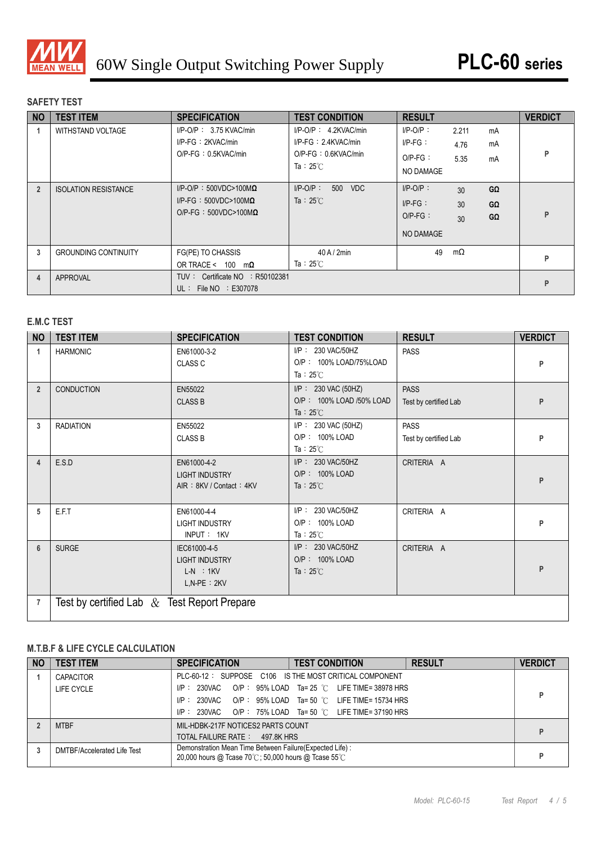

### **SAFETY TEST**

| <b>NO</b>      | <b>TEST ITEM</b>            | <b>SPECIFICATION</b>                                                                             | <b>TEST CONDITION</b>                                                                            | <b>RESULT</b>                                               |                       |                              | <b>VERDICT</b> |
|----------------|-----------------------------|--------------------------------------------------------------------------------------------------|--------------------------------------------------------------------------------------------------|-------------------------------------------------------------|-----------------------|------------------------------|----------------|
|                | <b>WITHSTAND VOLTAGE</b>    | $I/P$ -O/P: 3.75 KVAC/min<br>$I/P-FG : 2KVAC/min$<br>$O/P$ -FG: $0.5$ KVAC/min                   | $I/P-O/P$ : 4.2KVAC/min<br>$I/P-FG: 2.4KVAC/min$<br>$O/P-FG : 0.6KVAC/min$<br>Ta: $25^{\circ}$ C | $I/P-O/P$ :<br>$I/P-FG$ :<br>$O/P-FG$ :<br>NO DAMAGE        | 2.211<br>4.76<br>5.35 | mA<br>mA<br>mA               | P              |
| $\overline{2}$ | <b>ISOLATION RESISTANCE</b> | $I/P$ -O/P: 500VDC>100M $\Omega$<br>I/P-FG: $500VDC > 100M\Omega$<br>$O/P-FG: 500VDC>100M\Omega$ | $I/P-O/P$ :<br>500 VDC<br>Ta: $25^{\circ}$ C                                                     | $I/P-O/P$ :<br>$I/P-FG$ :<br>$O/P-FG$ :<br><b>NO DAMAGE</b> | 30<br>30<br>30        | $G\Omega$<br>GΩ<br>$G\Omega$ | P              |
| 3              | <b>GROUNDING CONTINUITY</b> | FG(PE) TO CHASSIS<br>OR TRACE < $100 \text{ m}\Omega$                                            | $40$ A / $2$ min<br>Ta: $25^{\circ}$ C                                                           | 49                                                          | $m\Omega$             |                              | P              |
| 4              | APPROVAL                    | TUV: Certificate NO : R50102381<br>UL: File $NO$ : E307078                                       |                                                                                                  |                                                             |                       |                              | P              |

## **E.M.C TEST**

| <b>NO</b>      | <b>TEST ITEM</b>                               | <b>SPECIFICATION</b>                                                    | <b>TEST CONDITION</b>                                                  | <b>RESULT</b>                        | <b>VERDICT</b> |
|----------------|------------------------------------------------|-------------------------------------------------------------------------|------------------------------------------------------------------------|--------------------------------------|----------------|
| 1              | <b>HARMONIC</b>                                | EN61000-3-2<br><b>CLASS C</b>                                           | I/P: 230 VAC/50HZ<br>O/P: 100% LOAD/75%LOAD<br>Ta: $25^{\circ}$ C      | <b>PASS</b>                          | P              |
| $\overline{2}$ | <b>CONDUCTION</b>                              | EN55022<br><b>CLASS B</b>                                               | I/P: 230 VAC (50HZ)<br>O/P: 100% LOAD /50% LOAD<br>Ta : $25^{\circ}$ C | <b>PASS</b><br>Test by certified Lab | P              |
| 3              | <b>RADIATION</b>                               | EN55022<br><b>CLASS B</b>                                               | $I/P$ : 230 VAC (50HZ)<br>O/P: 100% LOAD<br>Ta: $25^{\circ}$ C         | <b>PASS</b><br>Test by certified Lab | P              |
| 4              | E.S.D                                          | EN61000-4-2<br><b>LIGHT INDUSTRY</b><br>AIR: 8KV / Contact: 4KV         | I/P: 230 VAC/50HZ<br>O/P: 100% LOAD<br>Ta : $25^{\circ}$ C             | CRITERIA A                           | P              |
| 5              | E.F.T                                          | EN61000-4-4<br><b>LIGHT INDUSTRY</b><br>INPUT: 1KV                      | I/P: 230 VAC/50HZ<br>O/P: 100% LOAD<br>Ta: $25^{\circ}$ C              | CRITERIA A                           | P              |
| 6              | <b>SURGE</b>                                   | IEC61000-4-5<br><b>LIGHT INDUSTRY</b><br>$L-N$ : 1KV<br>$L, N-PE : 2KV$ | I/P: 230 VAC/50HZ<br>O/P: 100% LOAD<br>Ta : $25^{\circ}$ C             | CRITERIA A                           | P              |
| 7              | Test by certified Lab $\&$ Test Report Prepare |                                                                         |                                                                        |                                      |                |

## **M.T.B.F & LIFE CYCLE CALCULATION**

| <b>NO</b> | <b>TEST ITEM</b>            | <b>SPECIFICATION</b>                                                                                              | <b>TEST CONDITION</b>                                              | <b>RESULT</b> | <b>VERDICT</b> |
|-----------|-----------------------------|-------------------------------------------------------------------------------------------------------------------|--------------------------------------------------------------------|---------------|----------------|
|           | CAPACITOR                   | PLC-60-12: SUPPOSE C106 IS THE MOST CRITICAL COMPONENT                                                            |                                                                    |               |                |
|           | LIFE CYCLE                  | I/P: 230VAC                                                                                                       | O/P: $95\%$ LOAD Ta= 25 $^{\circ}$ C LIFE TIME= 38978 HRS          |               |                |
|           |                             |                                                                                                                   | $IP: 230\sqrt{AC}$ O/P: $95\%$ LOAD Ta= 50 °C LIFE TIME= 15734 HRS |               |                |
|           |                             |                                                                                                                   | $IP: 230\sqrt{AC}$ O/P: 75% LOAD Ta= 50 °C LIFE TIME= 37190 HRS    |               |                |
|           | <b>MTBF</b>                 | MIL-HDBK-217F NOTICES2 PARTS COUNT                                                                                |                                                                    |               |                |
|           |                             | TOTAL FAILURE RATE: 497.8K HRS                                                                                    |                                                                    |               |                |
|           | DMTBF/Accelerated Life Test | Demonstration Mean Time Between Failure (Expected Life) :<br>20,000 hours @ Tcase 70°C; 50,000 hours @ Tcase 55°C |                                                                    |               |                |